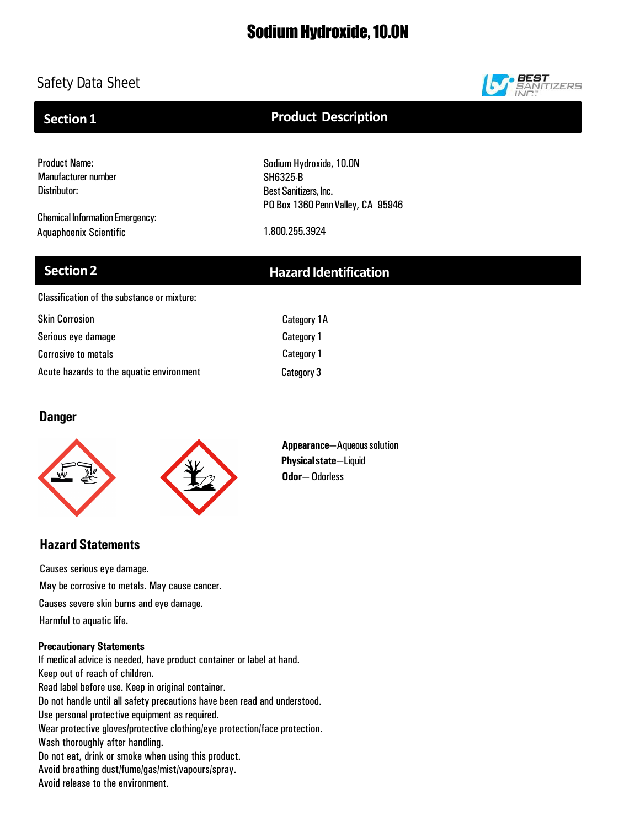# Sodium Hydroxide, 10.0N

# Safety Data Sheet



## **Section 1**

# **Product Description**

PO Box 1360 Penn Valley, CA 95946

Product Name: Manufacturer number Distributor:

Chemical Information Emergency: Aquaphoenix Scientific 1.800.255.3924

SH6325-B Best Sanitizers, Inc.

Sodium Hydroxide, 10.0N

# **Section 2 Hazard Identification**

Classification of the substance or mixture:

| <b>Skin Corrosion</b>                    | <b>Category 1A</b> |
|------------------------------------------|--------------------|
| Serious eye damage                       | <b>Category 1</b>  |
| <b>Corrosive to metals</b>               | Category 1         |
| Acute hazards to the aquatic environment | Category 3         |

## **Danger**



**Appearance**—Aqueoussolution **Physicalstate**—Liquid **Odor**— Odorless

## **Hazard Statements**

Causes severe skin burns and eye damage. Causes serious eye damage. May be corrosive to metals. May cause cancer. Harmful to aquatic life.

## **Precautionary Statements**

If medical advice is needed, have product container or label at hand. Keep out of reach of children. Read label before use. Keep in original container. Do not handle until all safety precautions have been read and understood. Use personal protective equipment as required. Wear protective gloves/protective clothing/eye protection/face protection. Wash thoroughly after handling. Do not eat, drink or smoke when using this product. Avoid breathing dust/fume/gas/mist/vapours/spray. Avoid release to the environment.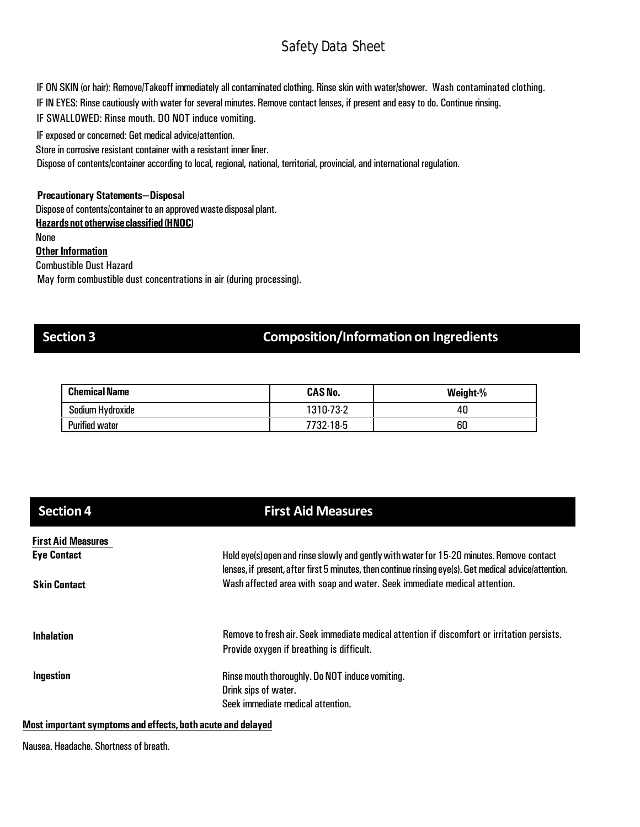IF ON SKIN (or hair): Remove/Takeoff immediately all contaminated clothing. Rinse skin with water/shower. Wash contaminated clothing. IF IN EYES: Rinse cautiously with water for several minutes. Remove contact lenses, if present and easy to do. Continue rinsing. IF SWALLOWED: Rinse mouth. DO NOT induce vomiting.

IF exposed or concerned: Get medical advice/attention.

Store in corrosive resistant container with a resistant inner liner.

Dispose of contents/container according to local, regional, national, territorial, provincial, and international regulation.

**Precautionary Statements—Disposal** Dispose of contents/container to an approved waste disposal plant. **Hazardsnototherwiseclassified (HNOC)** None **Other Information** Combustible Dust Hazard May form combustible dust concentrations in air (during processing).

# **Section 3 Composition/Informationon Ingredients**

| <b>Chemical Name</b>  | <b>CAS No.</b> | Weight-% |
|-----------------------|----------------|----------|
| Sodium Hydroxide      | 1310-73-2      | 40       |
| <b>Purified water</b> | 7732-18-5      | 60       |

| <b>Section 4</b>          | <b>First Aid Measures</b>                                                                                                                                                                           |  |  |
|---------------------------|-----------------------------------------------------------------------------------------------------------------------------------------------------------------------------------------------------|--|--|
| <b>First Aid Measures</b> |                                                                                                                                                                                                     |  |  |
| <b>Eye Contact</b>        | Hold eye(s) open and rinse slowly and gently with water for 15-20 minutes. Remove contact<br>lenses, if present, after first 5 minutes, then continue rinsing eye(s). Get medical advice/attention. |  |  |
| <b>Skin Contact</b>       | Wash affected area with soap and water. Seek immediate medical attention.                                                                                                                           |  |  |
| <b>Inhalation</b>         | Remove to fresh air. Seek immediate medical attention if discomfort or irritation persists.                                                                                                         |  |  |
|                           | Provide oxygen if breathing is difficult.                                                                                                                                                           |  |  |
| Ingestion                 | Rinse mouth thoroughly. Do NOT induce vomiting.                                                                                                                                                     |  |  |
|                           | Drink sips of water.                                                                                                                                                                                |  |  |
|                           | Seek immediate medical attention.                                                                                                                                                                   |  |  |

## **Most important symptoms and effects,both acute and delayed**

Nausea. Headache. Shortness of breath.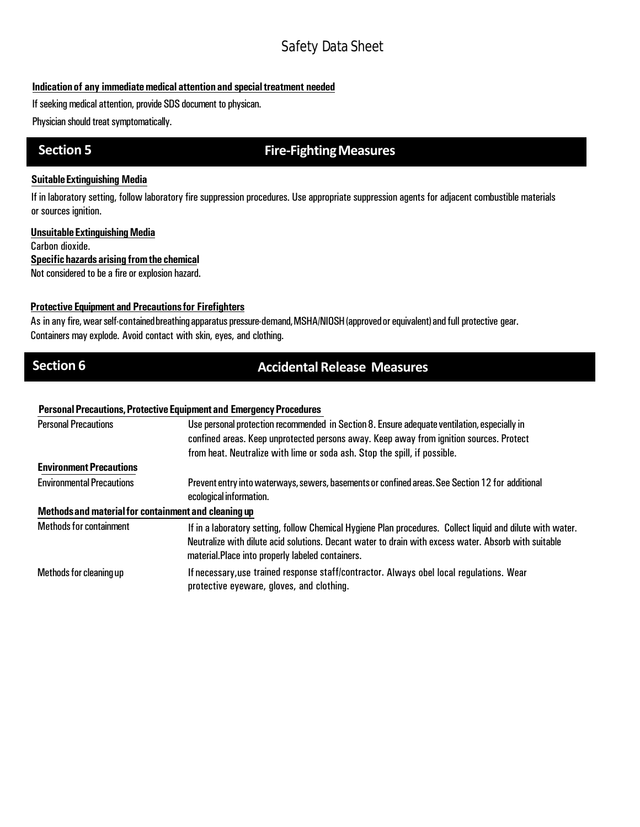## **Indication of any immediate medical attention and special treatment needed**

If seeking medical attention, provide SDS document to physican.

Physician should treat symptomatically.

# **Section 5 6 Fire-Fighting Measures**

## **SuitableExtinguishing Media**

If in laboratory setting, follow laboratory fire suppression procedures. Use appropriate suppression agents for adjacent combustible materials or sources ignition.

**Unsuitable Extinguishing Media** Carbon dioxide. **Specifichazards arising fromthe chemical** Not considered to be a fire or explosion hazard.

## **Protective Equipment and Precautionsfor Firefighters**

As in any fire, wear self-contained breathing apparatus pressure-demand, MSHA/NIOSH (approved or equivalent) and full protective gear. Containers may explode. Avoid contact with skin, eyes, and clothing.

# **Section 6 Accidental Release Measures**

## **PersonalPrecautions,ProtectiveEquipmentand EmergencyProcedures**

| <b>Personal Precautions</b>                          | Use personal protection recommended in Section 8. Ensure adequate ventilation, especially in                                                                                                                                                                            |  |  |
|------------------------------------------------------|-------------------------------------------------------------------------------------------------------------------------------------------------------------------------------------------------------------------------------------------------------------------------|--|--|
|                                                      | confined areas. Keep unprotected persons away. Keep away from ignition sources. Protect                                                                                                                                                                                 |  |  |
|                                                      | from heat. Neutralize with lime or soda ash. Stop the spill, if possible.                                                                                                                                                                                               |  |  |
| <b>Environment Precautions</b>                       |                                                                                                                                                                                                                                                                         |  |  |
| <b>Environmental Precautions</b>                     | Prevent entry into waterways, sewers, basements or confined areas. See Section 12 for additional<br>ecological information.                                                                                                                                             |  |  |
| Methods and material for containment and cleaning up |                                                                                                                                                                                                                                                                         |  |  |
| <b>Methods for containment</b>                       | If in a laboratory setting, follow Chemical Hygiene Plan procedures. Collect liquid and dilute with water.<br>Neutralize with dilute acid solutions. Decant water to drain with excess water. Absorb with suitable<br>material. Place into properly labeled containers. |  |  |
| Methods for cleaning up                              | If necessary, use trained response staff/contractor. Always obel local regulations. Wear<br>protective eyeware, gloves, and clothing.                                                                                                                                   |  |  |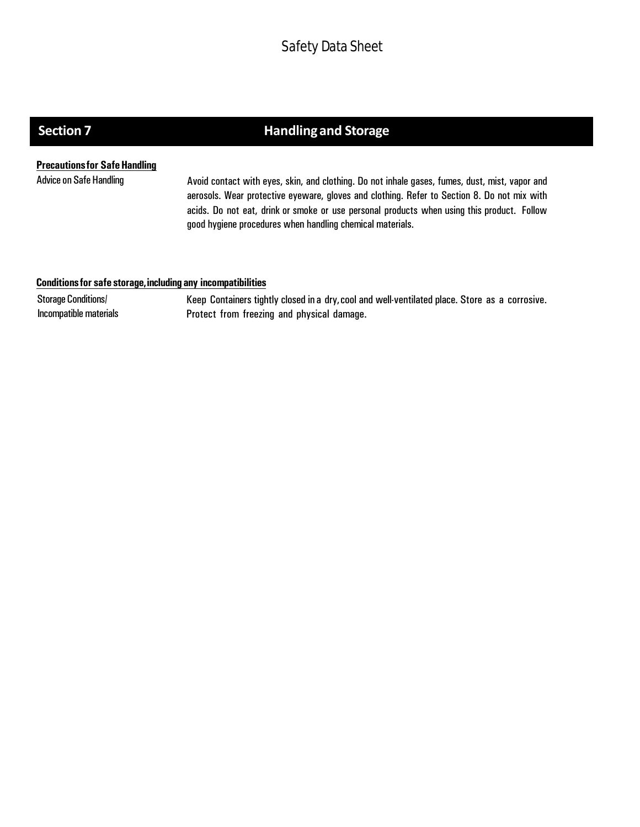# **Section 7 handling and Storage**

## **Precautions for Safe Handling**

Advice on Safe Handling **Avoid contact with eyes, skin, and clothing**. Do not inhale gases, fumes, dust, mist, vapor and aerosols. Wear protective eyeware, gloves and clothing. Refer to Section 8. Do not mix with acids. Do not eat, drink or smoke or use personal products when using this product. Follow good hygiene procedures when handling chemical materials.

### **Conditionsfor safe storage,including any incompatibilities**

Storage Conditions/ Incompatible materials Keep Containers tightly closed in a dry,cool and well-ventilated place. Store as a corrosive. Protect from freezing and physical damage.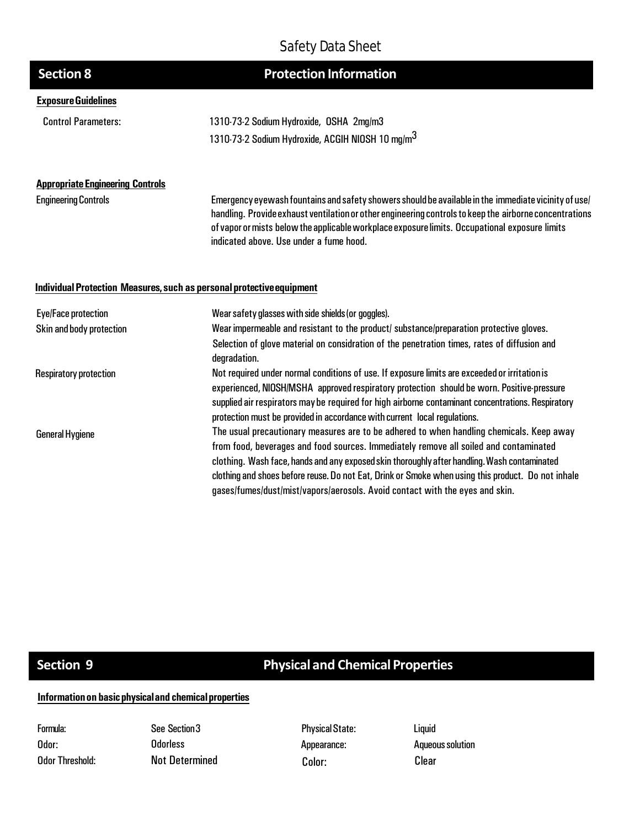| <b>Section 8</b>                                                      | <b>Protection Information</b>                                                                                                                                                                                                                                                                                                                                |
|-----------------------------------------------------------------------|--------------------------------------------------------------------------------------------------------------------------------------------------------------------------------------------------------------------------------------------------------------------------------------------------------------------------------------------------------------|
| <b>Exposure Guidelines</b>                                            |                                                                                                                                                                                                                                                                                                                                                              |
| <b>Control Parameters:</b>                                            | 1310-73-2 Sodium Hydroxide, OSHA 2mg/m3                                                                                                                                                                                                                                                                                                                      |
|                                                                       | 1310-73-2 Sodium Hydroxide, ACGIH NIOSH 10 mg/m <sup>3</sup>                                                                                                                                                                                                                                                                                                 |
| <b>Appropriate Engineering Controls</b>                               |                                                                                                                                                                                                                                                                                                                                                              |
| <b>Engineering Controls</b>                                           | Emergency eyewash fountains and safety showers should be available in the immediate vicinity of use/<br>handling. Provide exhaust ventilation or other engineering controls to keep the airborne concentrations<br>of vapor or mists below the applicable workplace exposure limits. Occupational exposure limits<br>indicated above. Use under a fume hood. |
| Individual Protection Measures, such as personal protective equipment |                                                                                                                                                                                                                                                                                                                                                              |
| Eye/Face protection                                                   | Wear safety glasses with side shields (or goggles).                                                                                                                                                                                                                                                                                                          |
| Skin and body protection                                              | Wear impermeable and resistant to the product/ substance/preparation protective gloves.                                                                                                                                                                                                                                                                      |
|                                                                       | Selection of glove material on considration of the penetration times, rates of diffusion and<br>degradation.                                                                                                                                                                                                                                                 |
| <b>Respiratory protection</b>                                         | Not required under normal conditions of use. If exposure limits are exceeded or irritation is                                                                                                                                                                                                                                                                |
|                                                                       | experienced, NIOSH/MSHA approved respiratory protection should be worn. Positive-pressure                                                                                                                                                                                                                                                                    |
|                                                                       | supplied air respirators may be required for high airborne contaminant concentrations. Respiratory                                                                                                                                                                                                                                                           |
|                                                                       | protection must be provided in accordance with current local regulations.<br>The usual precautionary measures are to be adhered to when handling chemicals. Keep away                                                                                                                                                                                        |
| <b>General Hygiene</b>                                                | from food, beverages and food sources. Immediately remove all soiled and contaminated                                                                                                                                                                                                                                                                        |
|                                                                       | clothing. Wash face, hands and any exposed skin thoroughly after handling. Wash contaminated                                                                                                                                                                                                                                                                 |
|                                                                       | clothing and shoes before reuse. Do not Eat, Drink or Smoke when using this product. Do not inhale                                                                                                                                                                                                                                                           |

# **Section 9 Physical and Chemical Properties**

gases/fumes/dust/mist/vapors/aerosols. Avoid contact with the eyes and skin.

## **Informationon basicphysicaland chemicalproperties**

| Formula:        |
|-----------------|
| Odor:           |
| Odor Threshold: |

See Section3 **Odorless** Not Determined Color: Color: Clear

**Physical State:** Appearance:

Liquid **Aqueous solution**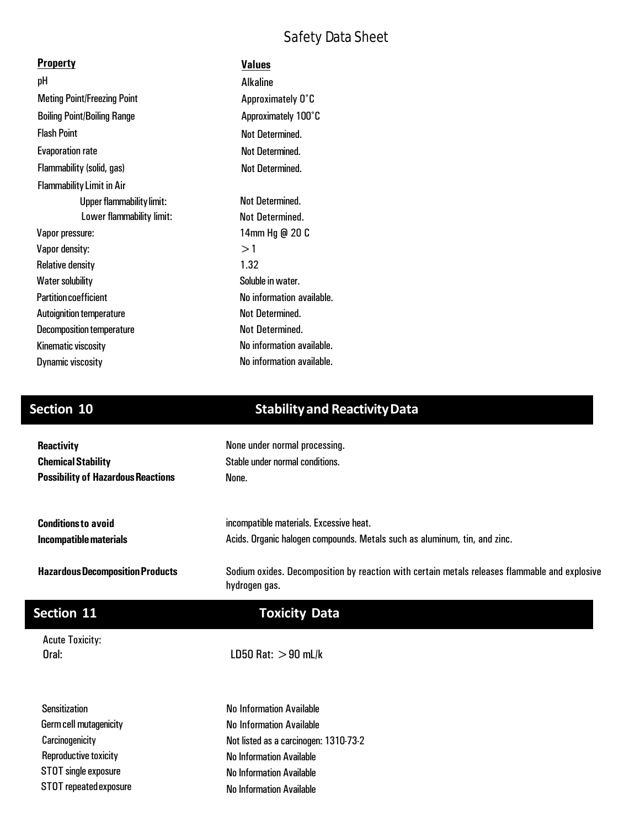| <b>Property</b>                    | <b>Values</b>             |
|------------------------------------|---------------------------|
| рH                                 | <b>Alkaline</b>           |
| <b>Meting Point/Freezing Point</b> | Approximately 0°C         |
| <b>Boiling Point/Boiling Range</b> | Approximately 100°C       |
| <b>Flash Point</b>                 | Not Determined.           |
| <b>Evaporation rate</b>            | Not Determined.           |
| Flammability (solid, gas)          | <b>Not Determined.</b>    |
| <b>Flammability Limit in Air</b>   |                           |
| <b>Upper flammability limit:</b>   | <b>Not Determined.</b>    |
| Lower flammability limit:          | Not Determined.           |
| Vapor pressure:                    | 14mm Hg @ 20 C            |
| Vapor density:                     | >1                        |
| <b>Relative density</b>            | 1.32                      |
| <b>Water solubility</b>            | Soluble in water.         |
| <b>Partition coefficient</b>       | No information available. |
| <b>Autoignition temperature</b>    | Not Determined.           |
| <b>Decomposition temperature</b>   | Not Determined.           |
| Kinematic viscosity                | No information available. |
| <b>Dynamic viscosity</b>           | No information available. |

# **Section 10 Stabilityand ReactivityData**

| <b>Reactivity</b>                              | None under normal processing.                                                                                  |
|------------------------------------------------|----------------------------------------------------------------------------------------------------------------|
| <b>Chemical Stability</b>                      | Stable under normal conditions.                                                                                |
| <b>Possibility of Hazardous Reactions</b>      | None.                                                                                                          |
|                                                |                                                                                                                |
| <b>Conditions to avoid</b>                     | incompatible materials. Excessive heat.                                                                        |
| Incompatible materials                         | Acids. Organic halogen compounds. Metals such as aluminum, tin, and zinc.                                      |
| <b>Hazardous Decomposition Products</b>        | Sodium oxides. Decomposition by reaction with certain metals releases flammable and explosive<br>hydrogen gas. |
| <b>Section 11</b>                              | <b>Toxicity Data</b>                                                                                           |
| <b>Acute Toxicity:</b>                         |                                                                                                                |
| Oral:                                          | LD50 Rat: $>90$ mL/k                                                                                           |
| <b>Sensitization</b>                           | No Information Available                                                                                       |
| Germ cell mutagenicity                         | No Information Available                                                                                       |
| Carcinogenicity                                | Not listed as a carcinogen: 1310-73-2                                                                          |
| Reproductive toxicity                          | <b>No Information Available</b>                                                                                |
| STOT single exposure<br>STOT repeated exposure | <b>No Information Available</b><br><b>No Information Available</b>                                             |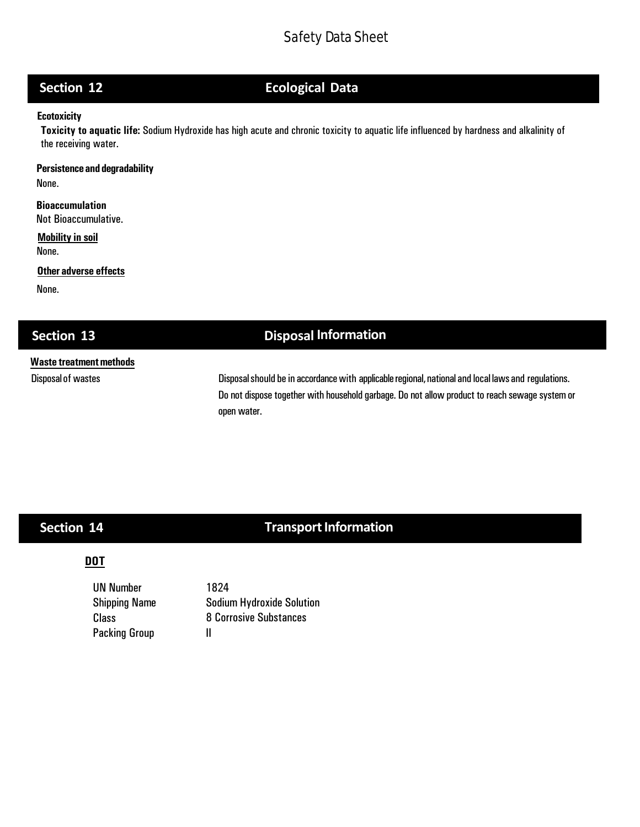# **Section 12 Ecological Data**

### **Ecotoxicity**

**Toxicity to aquatic life:** Sodium Hydroxide has high acute and chronic toxicity to aquatic life influenced by hardness and alkalinity of the receiving water.

## **Persistenceand degradability**

None.

## **Bioaccumulation**

Not Bioaccumulative.

### **Mobility in soil** None.

### **Other adverse effects**

None.

# **Section 13 Disposal Information**

## **Waste treatmentmethods**

Disposal of wastes **Disposalshould be** in accordance with applicable regional, national and local laws and regulations. Do not dispose together with household garbage. Do not allow product to reach sewage system or open water.

# **Section 14**

# **Transport Information**

## **DOT**

UN Number Shipping Name Packing Group II

1824 Sodium Hydroxide Solution Class 8 Corrosive Substances